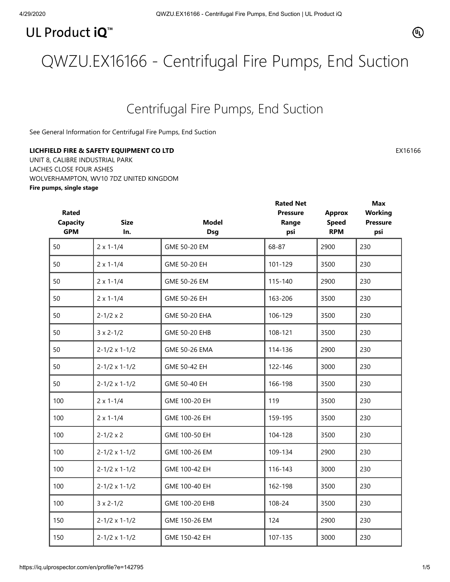## UL Product iQ<sup>™</sup>

## QWZU.EX16166 - Centrifugal Fire Pumps, End Suction

## Centrifugal Fire Pumps, End Suction

[See General Information for Centrifugal Fire Pumps, End Suction](https://iq.ulprospector.com/cgi-bin/XYV/template/LISEXT/1FRAME/showpage.html?&name=QWZU.GuideInfo&ccnshorttitle=Centrifugal+Fire+Pumps,+End+Suction&objid=1074301786&cfgid=1073741824&version=versionless&parent_id=1073992633&sequence=1)

## **LICHFIELD FIRE & SAFETY EQUIPMENT CO LTD EX16166**

UNIT 8, CALIBRE INDUSTRIAL PARK LACHES CLOSE FOUR ASHES WOLVERHAMPTON, WV10 7DZ UNITED KINGDOM **Fire pumps, single stage**

|                                 |                          |                | <b>Rated Net</b>         |                               | <b>Max</b>                        |
|---------------------------------|--------------------------|----------------|--------------------------|-------------------------------|-----------------------------------|
| <b>Rated</b><br><b>Capacity</b> | <b>Size</b>              | <b>Model</b>   | <b>Pressure</b><br>Range | <b>Approx</b><br><b>Speed</b> | <b>Working</b><br><b>Pressure</b> |
| <b>GPM</b>                      | In.                      | <b>Dsg</b>     | psi                      | <b>RPM</b>                    | psi                               |
| 50                              | $2 \times 1 - 1/4$       | GME 50-20 EM   | 68-87                    | 2900                          | 230                               |
| 50                              | $2 \times 1 - 1/4$       | GME 50-20 EH   | 101-129                  | 3500                          | 230                               |
| 50                              | $2 \times 1 - 1/4$       | GME 50-26 EM   | 115-140                  | 2900                          | 230                               |
| 50                              | $2 \times 1 - 1/4$       | GME 50-26 EH   | 163-206                  | 3500                          | 230                               |
| 50                              | $2 - 1/2 \times 2$       | GME 50-20 EHA  | 106-129                  | 3500                          | 230                               |
| 50                              | $3 \times 2 - 1/2$       | GME 50-20 EHB  | 108-121                  | 3500                          | 230                               |
| 50                              | $2 - 1/2 \times 1 - 1/2$ | GME 50-26 EMA  | 114-136                  | 2900                          | 230                               |
| 50                              | $2 - 1/2 \times 1 - 1/2$ | GME 50-42 EH   | 122-146                  | 3000                          | 230                               |
| 50                              | $2 - 1/2 \times 1 - 1/2$ | GME 50-40 EH   | 166-198                  | 3500                          | 230                               |
| 100                             | $2 \times 1 - 1/4$       | GME 100-20 EH  | 119                      | 3500                          | 230                               |
| 100                             | $2 \times 1 - 1/4$       | GME 100-26 EH  | 159-195                  | 3500                          | 230                               |
| 100                             | $2 - 1/2 \times 2$       | GME 100-50 EH  | 104-128                  | 3500                          | 230                               |
| 100                             | $2 - 1/2 \times 1 - 1/2$ | GME 100-26 EM  | 109-134                  | 2900                          | 230                               |
| 100                             | $2 - 1/2 \times 1 - 1/2$ | GME 100-42 EH  | 116-143                  | 3000                          | 230                               |
| 100                             | $2 - 1/2 \times 1 - 1/2$ | GME 100-40 EH  | 162-198                  | 3500                          | 230                               |
| 100                             | $3 \times 2 - 1/2$       | GME 100-20 EHB | 108-24                   | 3500                          | 230                               |
| 150                             | $2 - 1/2 \times 1 - 1/2$ | GME 150-26 EM  | 124                      | 2900                          | 230                               |
| 150                             | $2 - 1/2 \times 1 - 1/2$ | GME 150-42 EH  | 107-135                  | 3000                          | 230                               |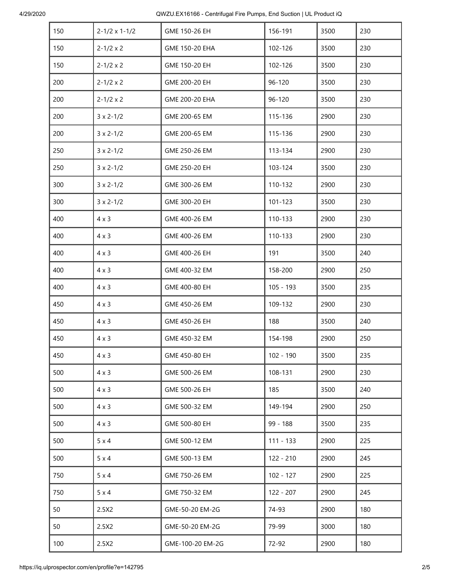| 150 | $2 - 1/2 \times 1 - 1/2$ | GME 150-26 EH    | 156-191     | 3500 | 230 |
|-----|--------------------------|------------------|-------------|------|-----|
| 150 | $2 - 1/2 \times 2$       | GME 150-20 EHA   | 102-126     | 3500 | 230 |
| 150 | $2 - 1/2 \times 2$       | GME 150-20 EH    | 102-126     | 3500 | 230 |
| 200 | $2 - 1/2 \times 2$       | GME 200-20 EH    | 96-120      | 3500 | 230 |
| 200 | $2 - 1/2 \times 2$       | GME 200-20 EHA   | 96-120      | 3500 | 230 |
| 200 | $3 \times 2 - 1/2$       | GME 200-65 EM    | 115-136     | 2900 | 230 |
| 200 | $3 \times 2 - 1/2$       | GME 200-65 EM    | 115-136     | 2900 | 230 |
| 250 | $3 \times 2 - 1/2$       | GME 250-26 EM    | 113-134     | 2900 | 230 |
| 250 | $3 \times 2 - 1/2$       | GME 250-20 EH    | 103-124     | 3500 | 230 |
| 300 | $3 \times 2 - 1/2$       | GME 300-26 EM    | 110-132     | 2900 | 230 |
| 300 | $3 \times 2 - 1/2$       | GME 300-20 EH    | 101-123     | 3500 | 230 |
| 400 | $4 \times 3$             | GME 400-26 EM    | 110-133     | 2900 | 230 |
| 400 | $4 \times 3$             | GME 400-26 EM    | 110-133     | 2900 | 230 |
| 400 | $4 \times 3$             | GME 400-26 EH    | 191         | 3500 | 240 |
| 400 | $4 \times 3$             | GME 400-32 EM    | 158-200     | 2900 | 250 |
| 400 | $4 \times 3$             | GME 400-80 EH    | $105 - 193$ | 3500 | 235 |
| 450 | $4 \times 3$             | GME 450-26 EM    | 109-132     | 2900 | 230 |
| 450 | $4 \times 3$             | GME 450-26 EH    | 188         | 3500 | 240 |
| 450 | $4 \times 3$             | GME 450-32 EM    | 154-198     | 2900 | 250 |
| 450 | $4 \times 3$             | GME 450-80 EH    | $102 - 190$ | 3500 | 235 |
| 500 | $4 \times 3$             | GME 500-26 EM    | 108-131     | 2900 | 230 |
| 500 | $4 \times 3$             | GME 500-26 EH    | 185         | 3500 | 240 |
| 500 | $4 \times 3$             | GME 500-32 EM    | 149-194     | 2900 | 250 |
| 500 | $4 \times 3$             | GME 500-80 EH    | 99 - 188    | 3500 | 235 |
| 500 | $5 \times 4$             | GME 500-12 EM    | $111 - 133$ | 2900 | 225 |
| 500 | $5 \times 4$             | GME 500-13 EM    | $122 - 210$ | 2900 | 245 |
| 750 | $5 \times 4$             | GME 750-26 EM    | $102 - 127$ | 2900 | 225 |
| 750 | $5 \times 4$             | GME 750-32 EM    | $122 - 207$ | 2900 | 245 |
| 50  | 2.5X2                    | GME-50-20 EM-2G  | 74-93       | 2900 | 180 |
| 50  | 2.5X2                    | GME-50-20 EM-2G  | 79-99       | 3000 | 180 |
| 100 | 2.5X2                    | GME-100-20 EM-2G | 72-92       | 2900 | 180 |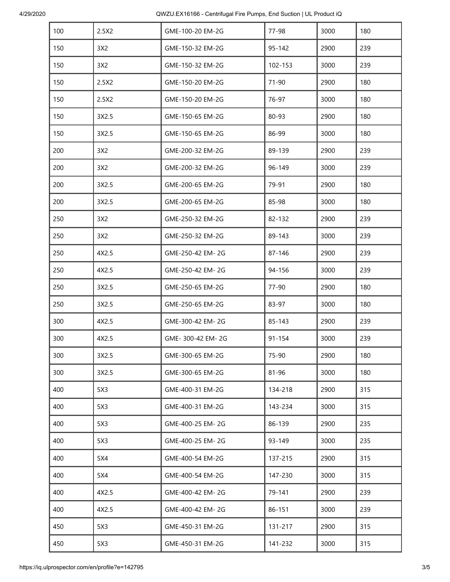| 100 | 2.5X2 | GME-100-20 EM-2G | 77-98      | 3000 | 180 |
|-----|-------|------------------|------------|------|-----|
| 150 | 3X2   | GME-150-32 EM-2G | $95 - 142$ | 2900 | 239 |
| 150 | 3X2   | GME-150-32 EM-2G | 102-153    | 3000 | 239 |
| 150 | 2.5X2 | GME-150-20 EM-2G | 71-90      | 2900 | 180 |
| 150 | 2.5X2 | GME-150-20 EM-2G | 76-97      | 3000 | 180 |
| 150 | 3X2.5 | GME-150-65 EM-2G | 80-93      | 2900 | 180 |
| 150 | 3X2.5 | GME-150-65 EM-2G | 86-99      | 3000 | 180 |
| 200 | 3X2   | GME-200-32 EM-2G | 89-139     | 2900 | 239 |
| 200 | 3X2   | GME-200-32 EM-2G | 96-149     | 3000 | 239 |
| 200 | 3X2.5 | GME-200-65 EM-2G | 79-91      | 2900 | 180 |
| 200 | 3X2.5 | GME-200-65 EM-2G | 85-98      | 3000 | 180 |
| 250 | 3X2   | GME-250-32 EM-2G | 82-132     | 2900 | 239 |
| 250 | 3X2   | GME-250-32 EM-2G | 89-143     | 3000 | 239 |
| 250 | 4X2.5 | GME-250-42 EM-2G | 87-146     | 2900 | 239 |
| 250 | 4X2.5 | GME-250-42 EM-2G | 94-156     | 3000 | 239 |
| 250 | 3X2.5 | GME-250-65 EM-2G | 77-90      | 2900 | 180 |
| 250 | 3X2.5 | GME-250-65 EM-2G | 83-97      | 3000 | 180 |
| 300 | 4X2.5 | GME-300-42 EM-2G | 85-143     | 2900 | 239 |
| 300 | 4X2.5 | GME-300-42 EM-2G | $91 - 154$ | 3000 | 239 |
| 300 | 3X2.5 | GME-300-65 EM-2G | 75-90      | 2900 | 180 |
| 300 | 3X2.5 | GME-300-65 EM-2G | 81-96      | 3000 | 180 |
| 400 | 5X3   | GME-400-31 EM-2G | 134-218    | 2900 | 315 |
| 400 | 5X3   | GME-400-31 EM-2G | 143-234    | 3000 | 315 |
| 400 | 5X3   | GME-400-25 EM-2G | 86-139     | 2900 | 235 |
| 400 | 5X3   | GME-400-25 EM-2G | $93 - 149$ | 3000 | 235 |
| 400 | 5X4   | GME-400-54 EM-2G | 137-215    | 2900 | 315 |
| 400 | 5X4   | GME-400-54 EM-2G | 147-230    | 3000 | 315 |
| 400 | 4X2.5 | GME-400-42 EM-2G | 79-141     | 2900 | 239 |
| 400 | 4X2.5 | GME-400-42 EM-2G | 86-151     | 3000 | 239 |
| 450 | 5X3   | GME-450-31 EM-2G | 131-217    | 2900 | 315 |
| 450 | 5X3   | GME-450-31 EM-2G | 141-232    | 3000 | 315 |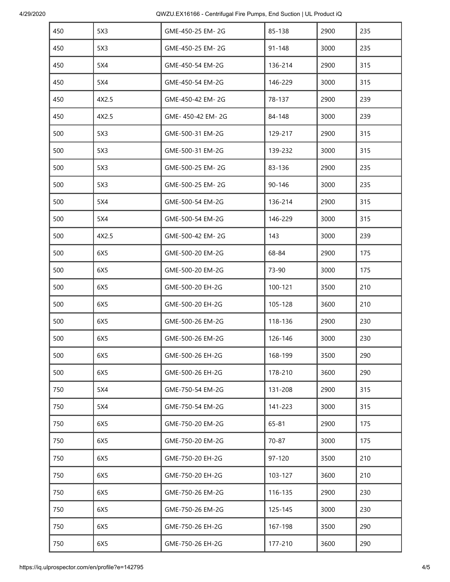4/29/2020 QWZU.EX16166 - Centrifugal Fire Pumps, End Suction | UL Product iQ

| 450 | 5X3   | GME-450-25 EM-2G | 85-138     | 2900 | 235 |
|-----|-------|------------------|------------|------|-----|
| 450 | 5X3   | GME-450-25 EM-2G | $91 - 148$ | 3000 | 235 |
| 450 | 5X4   | GME-450-54 EM-2G | 136-214    | 2900 | 315 |
| 450 | 5X4   | GME-450-54 EM-2G | 146-229    | 3000 | 315 |
| 450 | 4X2.5 | GME-450-42 EM-2G | 78-137     | 2900 | 239 |
| 450 | 4X2.5 | GME-450-42 EM-2G | 84-148     | 3000 | 239 |
| 500 | 5X3   | GME-500-31 EM-2G | 129-217    | 2900 | 315 |
| 500 | 5X3   | GME-500-31 EM-2G | 139-232    | 3000 | 315 |
| 500 | 5X3   | GME-500-25 EM-2G | 83-136     | 2900 | 235 |
| 500 | 5X3   | GME-500-25 EM-2G | $90 - 146$ | 3000 | 235 |
| 500 | 5X4   | GME-500-54 EM-2G | 136-214    | 2900 | 315 |
| 500 | 5X4   | GME-500-54 EM-2G | 146-229    | 3000 | 315 |
| 500 | 4X2.5 | GME-500-42 EM-2G | 143        | 3000 | 239 |
| 500 | 6X5   | GME-500-20 EM-2G | 68-84      | 2900 | 175 |
| 500 | 6X5   | GME-500-20 EM-2G | 73-90      | 3000 | 175 |
| 500 | 6X5   | GME-500-20 EH-2G | 100-121    | 3500 | 210 |
| 500 | 6X5   | GME-500-20 EH-2G | 105-128    | 3600 | 210 |
| 500 | 6X5   | GME-500-26 EM-2G | 118-136    | 2900 | 230 |
| 500 | 6X5   | GME-500-26 EM-2G | 126-146    | 3000 | 230 |
| 500 | 6X5   | GME-500-26 EH-2G | 168-199    | 3500 | 290 |
| 500 | 6X5   | GME-500-26 EH-2G | 178-210    | 3600 | 290 |
| 750 | 5X4   | GME-750-54 EM-2G | 131-208    | 2900 | 315 |
| 750 | 5X4   | GME-750-54 EM-2G | 141-223    | 3000 | 315 |
| 750 | 6X5   | GME-750-20 EM-2G | 65-81      | 2900 | 175 |
| 750 | 6X5   | GME-750-20 EM-2G | 70-87      | 3000 | 175 |
| 750 | 6X5   | GME-750-20 EH-2G | $97 - 120$ | 3500 | 210 |
| 750 | 6X5   | GME-750-20 EH-2G | 103-127    | 3600 | 210 |
| 750 | 6X5   | GME-750-26 EM-2G | 116-135    | 2900 | 230 |
| 750 | 6X5   | GME-750-26 EM-2G | 125-145    | 3000 | 230 |
| 750 | 6X5   | GME-750-26 EH-2G | 167-198    | 3500 | 290 |
| 750 | 6X5   | GME-750-26 EH-2G | 177-210    | 3600 | 290 |